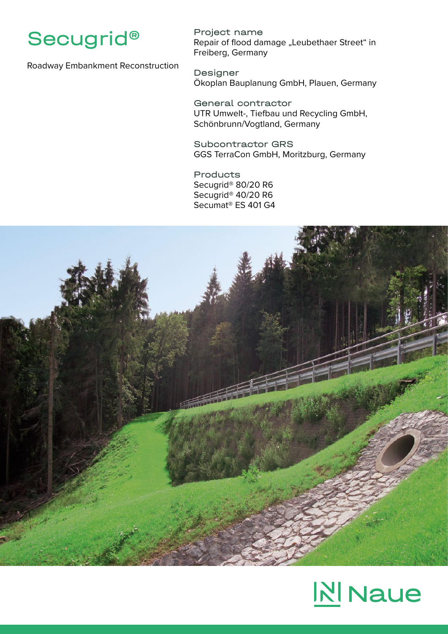

Roadway Embankment Reconstruction

Project name Repair of flood damage "Leubethaer Street" in Freiberg, Germany

Designer Ökoplan Bauplanung GmbH, Plauen, Germany

General contractor UTR Umwelt-, Tiefbau und Recycling GmbH, Schönbrunn/Vogtland, Germany

Subcontractor GRS GGS TerraCon GmbH, Moritzburg, Germany

Products Secugrid® 80/20 R6 Secugrid® 40/20 R6 Secumat® ES 401 G4